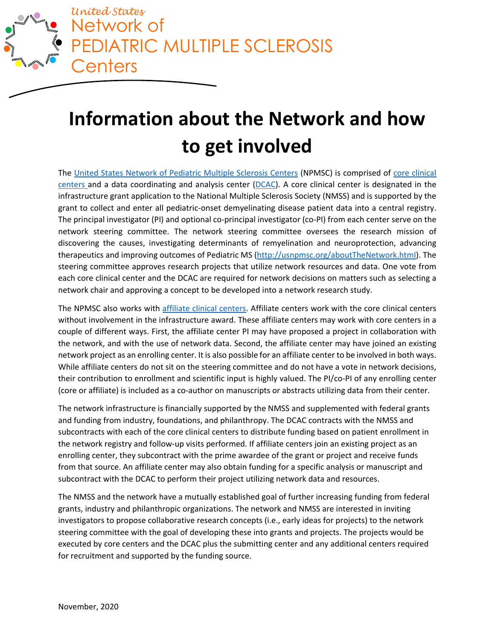

# **Information about the Network and how to get involved**

The [United States Network of Pediatric Multiple Sclerosis Centers](http://www.usnpmsc.org/index.html) (NPMSC) is comprised of [core clinical](http://www.usnpmsc.org/clinicalcenters.html)  [centers a](http://www.usnpmsc.org/clinicalcenters.html)nd a data coordinating and analysis center [\(DCAC\)](https://medicine.utah.edu/pediatrics/research/dcc/). A core clinical center is designated in the infrastructure grant application to the National Multiple Sclerosis Society (NMSS) and is supported by the grant to collect and enter all pediatric-onset demyelinating disease patient data into a central registry. The principal investigator (PI) and optional co-principal investigator (co-PI) from each center serve on the network steering committee. The network steering committee oversees the research mission of discovering the causes, investigating determinants of remyelination and neuroprotection, advancing therapeutics and improving outcomes of Pediatric MS [\(http://usnpmsc.org/aboutTheNetwork.html\)](http://usnpmsc.org/aboutTheNetwork.html). The steering committee approves research projects that utilize network resources and data. One vote from each core clinical center and the DCAC are required for network decisions on matters such as selecting a network chair and approving a concept to be developed into a network research study.

The NPMSC also works with [affiliate clinical centers.](http://www.usnpmsc.org/clinicalcenters.html) Affiliate centers work with the core clinical centers without involvement in the infrastructure award. These affiliate centers may work with core centers in a couple of different ways. First, the affiliate center PI may have proposed a project in collaboration with the network, and with the use of network data. Second, the affiliate center may have joined an existing network project as an enrolling center. It is also possible for an affiliate center to be involved in both ways. While affiliate centers do not sit on the steering committee and do not have a vote in network decisions, their contribution to enrollment and scientific input is highly valued. The PI/co-PI of any enrolling center (core or affiliate) is included as a co-author on manuscripts or abstracts utilizing data from their center.

The network infrastructure is financially supported by the NMSS and supplemented with federal grants and funding from industry, foundations, and philanthropy. The DCAC contracts with the NMSS and subcontracts with each of the core clinical centers to distribute funding based on patient enrollment in the network registry and follow-up visits performed. If affiliate centers join an existing project as an enrolling center, they subcontract with the prime awardee of the grant or project and receive funds from that source. An affiliate center may also obtain funding for a specific analysis or manuscript and subcontract with the DCAC to perform their project utilizing network data and resources.

The NMSS and the network have a mutually established goal of further increasing funding from federal grants, industry and philanthropic organizations. The network and NMSS are interested in inviting investigators to propose collaborative research concepts (i.e., early ideas for projects) to the network steering committee with the goal of developing these into grants and projects. The projects would be executed by core centers and the DCAC plus the submitting center and any additional centers required for recruitment and supported by the funding source.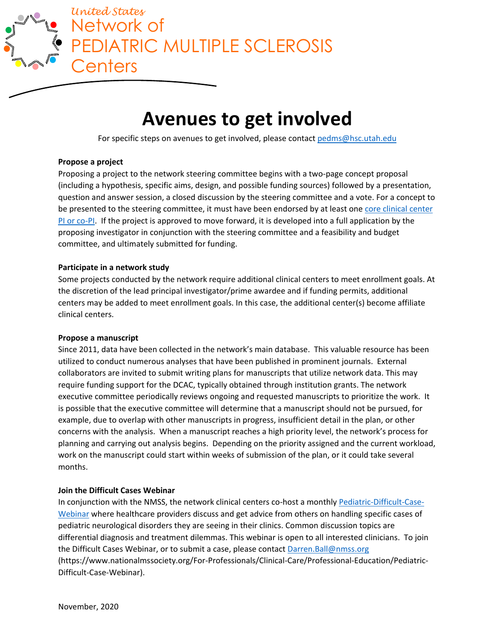

# **Avenues to get involved**

For specific steps on avenues to get involved, please contact [pedms@hsc.utah.edu](mailto:pedms@hsc.utah.edu)

#### **Propose a project**

Proposing a project to the network steering committee begins with a two-page concept proposal (including a hypothesis, specific aims, design, and possible funding sources) followed by a presentation, question and answer session, a closed discussion by the steering committee and a vote. For a concept to be presented to the steering committee, it must have been endorsed by at least one core clinical center [PI or co-PI.](http://www.usnpmsc.org/clinicalcenters.html) If the project is approved to move forward, it is developed into a full application by the proposing investigator in conjunction with the steering committee and a feasibility and budget committee, and ultimately submitted for funding.

#### **Participate in a network study**

Some projects conducted by the network require additional clinical centers to meet enrollment goals. At the discretion of the lead principal investigator/prime awardee and if funding permits, additional centers may be added to meet enrollment goals. In this case, the additional center(s) become affiliate clinical centers.

## **Propose a manuscript**

Since 2011, data have been collected in the network's main database. This valuable resource has been utilized to conduct numerous analyses that have been published in prominent journals. External collaborators are invited to submit writing plans for manuscripts that utilize network data. This may require funding support for the DCAC, typically obtained through institution grants. The network executive committee periodically reviews ongoing and requested manuscripts to prioritize the work. It is possible that the executive committee will determine that a manuscript should not be pursued, for example, due to overlap with other manuscripts in progress, insufficient detail in the plan, or other concerns with the analysis. When a manuscript reaches a high priority level, the network's process for planning and carrying out analysis begins. Depending on the priority assigned and the current workload, work on the manuscript could start within weeks of submission of the plan, or it could take several months.

## **Join the Difficult Cases Webinar**

In conjunction with the NMSS, the network clinical centers co-host a monthly [Pediatric-Difficult-Case-](https://www.nationalmssociety.org/For-Professionals/Clinical-Care/Professional-Education/Pediatric-Difficult-Case-Webinar)[Webinar](https://www.nationalmssociety.org/For-Professionals/Clinical-Care/Professional-Education/Pediatric-Difficult-Case-Webinar) where healthcare providers discuss and get advice from others on handling specific cases of pediatric neurological disorders they are seeing in their clinics. Common discussion topics are differential diagnosis and treatment dilemmas. This webinar is open to all interested clinicians. To join the Difficult Cases Webinar, or to submit a case, please contact [Darren.Ball@nmss.org](mailto:Darren.Ball@nmss.org)  (https://www.nationalmssociety.org/For-Professionals/Clinical-Care/Professional-Education/Pediatric-Difficult-Case-Webinar).